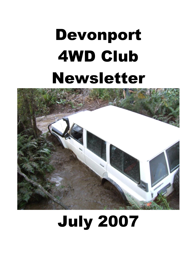# Devonport 4WD Club Newsletter



# July 2007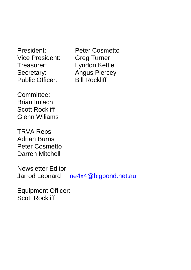President: Peter Cosmetto Vice President: Greg Turner Treasurer: Lyndon Kettle Secretary: Angus Piercey Public Officer: Bill Rockliff

Committee: Brian Imlach Scott Rockliff Glenn Wiliams

TRVA Reps: Adrian Burns Peter Cosmetto Darren Mitchell

Newsletter Editor: Jarrod Leonard [ne4x4@bigpond.net.au](mailto:ne4x4@bigpond.net.au)

Equipment Officer: Scott Rockliff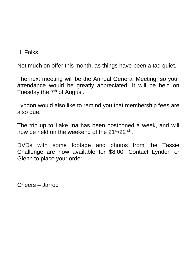Hi Folks,

Not much on offer this month, as things have been a tad quiet.

The next meeting will be the Annual General Meeting, so your attendance would be greatly appreciated. It will be held on Tuesday the  $7<sup>th</sup>$  of August.

Lyndon would also like to remind you that membership fees are also due.

The trip up to Lake Ina has been postponed a week, and will now be held on the weekend of the 21<sup>st</sup>/22<sup>nd</sup>.

DVDs with some footage and photos from the Tassie Challenge are now available for \$8.00. Contact Lyndon or Glenn to place your order

Cheers – Jarrod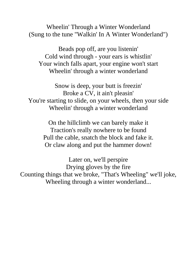Wheelin' Through a Winter Wonderland (Sung to the tune "Walkin' In A Winter Wonderland")

Beads pop off, are you listenin' Cold wind through - your ears is whistlin' Your winch falls apart, your engine won't start Wheelin' through a winter wonderland

Snow is deep, your butt is freezin' Broke a CV, it ain't pleasin' You're starting to slide, on your wheels, then your side Wheelin' through a winter wonderland

On the hillclimb we can barely make it Traction's really nowhere to be found Pull the cable, snatch the block and fake it. Or claw along and put the hammer down!

Later on, we'll perspire Drying gloves by the fire Counting things that we broke, "That's Wheeling" we'll joke, Wheeling through a winter wonderland...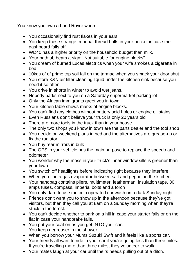You know you own a Land Rover when….

- You occasionally find rust flakes in your ears.
- You keep these strange Imperial-thread bolts in your pocket in case the dashboard falls off.
- WD40 has a higher priority on the household budget than milk.
- Your bathtub bears a sign: "Not suitable for engine blocks".
- You dream of burned Lucas electrics when your wife smokes a cigarette in bed
- 10kgs of of prime top soil fall on the tarmac when you smack your door shut
- You store K&N air filter cleaning liquid under the kitchen sink because you need it so often
- You drive in shorts in winter to avoid wet jeans.
- Nobody parks next to you on a Saturday supermarket parking lot
- Only the African immigrants greet you in town
- Your kitchen table shows marks of engine blocks.
- You can't find any clothes without battery acid holes or engine oil stains
- Even Russians don't believe your truck is only 20 years old
- There are more tools in the truck than in your house
- The only two shops you know in town are the parts dealer and the tool shop
- You decide on weekend plans in bed and the alternatives are grease-up or fix the radiator
- You buy rear mirrors in bulk
- The GPS in your vehicle has the main purpose to replace the speedo and odometer
- You wonder why the moss in your truck's inner window sills is greener than your lawn
- You switch off headlights before indicating right because they interfere
- When you find a gas evaporator between salt and pepper in the kitchen
- Your handbag contains pliers, multimeter, leatherman, insulation tape, 30 amps fuses, compass, imperial bolts and a torch
- You only dare to use the coin operated car wash on a dark Sunday night
- Friends don't want you to show up in the afternoon because they've got visitors, but then they call you at 8am on a Sunday morning when they're stuck in the forest.
- You can't decide whether to park on a hill in case your starter fails or on the flat in case your handbrake fails.
- You put your coat on as you get INTO your car. You keep degreaser in the shower.
- When you borrow your Mums Suzuki Swift and it feels like a sports car.
- Your friends all want to ride in your car if you're going less than three miles. If you're travelling more than three miles, they volunteer to walk.
- Your mates laugh at your car until theirs needs pulling out of a ditch.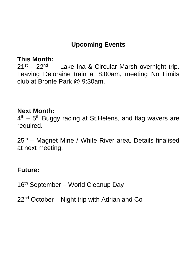## **Upcoming Events**

#### **This Month:**

21<sup>st</sup> – 22<sup>nd</sup> - Lake Ina & Circular Marsh overnight trip. Leaving Deloraine train at 8:00am, meeting No Limits club at Bronte Park @ 9:30am.

#### **Next Month:**

4<sup>th</sup> – 5<sup>th</sup> Buggy racing at St. Helens, and flag wavers are required.

25<sup>th</sup> – Magnet Mine / White River area. Details finalised at next meeting.

#### **Future:**

16<sup>th</sup> September – World Cleanup Day

22<sup>nd</sup> October – Night trip with Adrian and Co